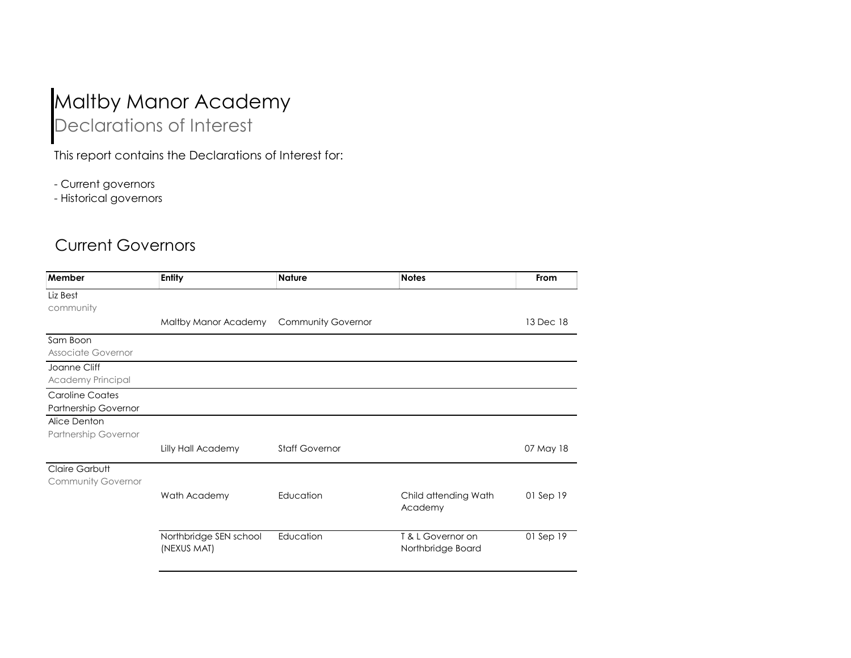## Maltby Manor Academy Declarations of Interest

This report contains the Declarations of Interest for:

- Current governors

- Historical governors

## Current Governors

| Member                      | <b>Entity</b>          | <b>Nature</b>             | <b>Notes</b>                    | From      |
|-----------------------------|------------------------|---------------------------|---------------------------------|-----------|
| Liz Best                    |                        |                           |                                 |           |
| community                   |                        |                           |                                 |           |
|                             | Maltby Manor Academy   | <b>Community Governor</b> |                                 | 13 Dec 18 |
| Sam Boon                    |                        |                           |                                 |           |
| Associate Governor          |                        |                           |                                 |           |
| Joanne Cliff                |                        |                           |                                 |           |
| Academy Principal           |                        |                           |                                 |           |
| <b>Caroline Coates</b>      |                        |                           |                                 |           |
| Partnership Governor        |                        |                           |                                 |           |
| Alice Denton                |                        |                           |                                 |           |
| <b>Partnership Governor</b> |                        |                           |                                 |           |
|                             | Lilly Hall Academy     | <b>Staff Governor</b>     |                                 | 07 May 18 |
| Claire Garbutt              |                        |                           |                                 |           |
| <b>Community Governor</b>   |                        |                           |                                 |           |
|                             | Wath Academy           | Education                 | Child attending Wath<br>Academy | 01 Sep 19 |
|                             | Northbridge SEN school | Education                 | T & L Governor on               | 01 Sep 19 |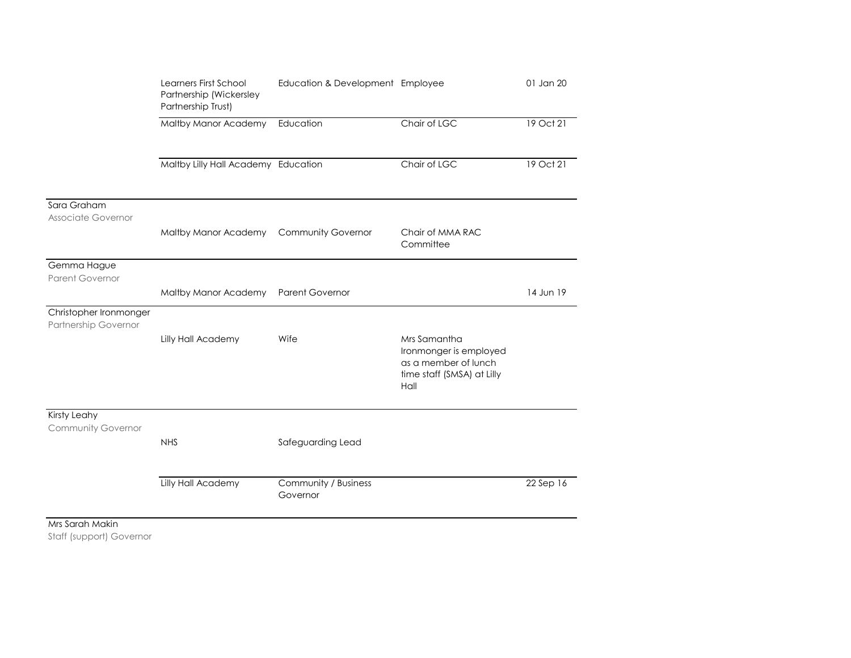|                                                | Learners First School<br>Partnership (Wickersley<br>Partnership Trust)<br>Maltby Manor Academy | Education & Development Employee<br>Education | Chair of LGC                                                                                         | 01 Jan 20<br>19 Oct 21 |
|------------------------------------------------|------------------------------------------------------------------------------------------------|-----------------------------------------------|------------------------------------------------------------------------------------------------------|------------------------|
|                                                |                                                                                                |                                               |                                                                                                      |                        |
|                                                | Maltby Lilly Hall Academy Education                                                            |                                               | Chair of LGC                                                                                         | 19 Oct 21              |
| Sara Graham<br>Associate Governor              |                                                                                                |                                               |                                                                                                      |                        |
|                                                | Maltby Manor Academy                                                                           | <b>Community Governor</b>                     | Chair of MMA RAC<br>Committee                                                                        |                        |
| Gemma Hague<br><b>Parent Governor</b>          |                                                                                                |                                               |                                                                                                      |                        |
|                                                | Maltby Manor Academy                                                                           | <b>Parent Governor</b>                        |                                                                                                      | 14 Jun 19              |
| Christopher Ironmonger<br>Partnership Governor |                                                                                                |                                               |                                                                                                      |                        |
|                                                | Lilly Hall Academy                                                                             | Wife                                          | Mrs Samantha<br>Ironmonger is employed<br>as a member of lunch<br>time staff (SMSA) at Lilly<br>Hall |                        |
| Kirsty Leahy<br>Community Governor             |                                                                                                |                                               |                                                                                                      |                        |
|                                                | <b>NHS</b>                                                                                     | Safeguarding Lead                             |                                                                                                      |                        |
|                                                | Lilly Hall Academy                                                                             | Community / Business<br>Governor              |                                                                                                      | 22 Sep 16              |
| Mrs Sarah Makin                                |                                                                                                |                                               |                                                                                                      |                        |

Staff (support) Governor